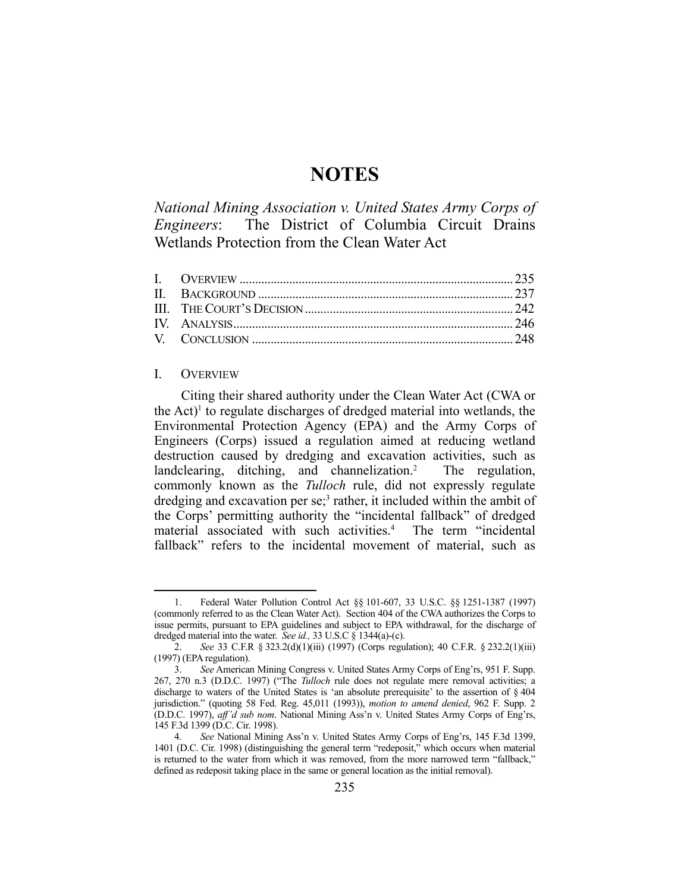# **NOTES**

*National Mining Association v. United States Army Corps of Engineers*: The District of Columbia Circuit Drains Wetlands Protection from the Clean Water Act

### I. OVERVIEW

1

 Citing their shared authority under the Clean Water Act (CWA or the Act)<sup>1</sup> to regulate discharges of dredged material into wetlands, the Environmental Protection Agency (EPA) and the Army Corps of Engineers (Corps) issued a regulation aimed at reducing wetland destruction caused by dredging and excavation activities, such as landclearing, ditching, and channelization.<sup>2</sup> The regulation, commonly known as the *Tulloch* rule, did not expressly regulate dredging and excavation per se;<sup>3</sup> rather, it included within the ambit of the Corps' permitting authority the "incidental fallback" of dredged material associated with such activities.4 The term "incidental fallback" refers to the incidental movement of material, such as

 <sup>1.</sup> Federal Water Pollution Control Act §§ 101-607, 33 U.S.C. §§ 1251-1387 (1997) (commonly referred to as the Clean Water Act). Section 404 of the CWA authorizes the Corps to issue permits, pursuant to EPA guidelines and subject to EPA withdrawal, for the discharge of dredged material into the water. *See id.,* 33 U.S.C § 1344(a)-(c).

 <sup>2.</sup> *See* 33 C.F.R § 323.2(d)(1)(iii) (1997) (Corps regulation); 40 C.F.R. § 232.2(1)(iii) (1997) (EPA regulation).

 <sup>3.</sup> *See* American Mining Congress v. United States Army Corps of Eng'rs, 951 F. Supp. 267, 270 n.3 (D.D.C. 1997) ("The *Tulloch* rule does not regulate mere removal activities; a discharge to waters of the United States is 'an absolute prerequisite' to the assertion of § 404 jurisdiction." (quoting 58 Fed. Reg. 45,011 (1993)), *motion to amend denied*, 962 F. Supp. 2 (D.D.C. 1997), *aff'd sub nom*. National Mining Ass'n v. United States Army Corps of Eng'rs, 145 F.3d 1399 (D.C. Cir. 1998).

 <sup>4.</sup> *See* National Mining Ass'n v. United States Army Corps of Eng'rs, 145 F.3d 1399, 1401 (D.C. Cir. 1998) (distinguishing the general term "redeposit," which occurs when material is returned to the water from which it was removed, from the more narrowed term "fallback," defined as redeposit taking place in the same or general location as the initial removal).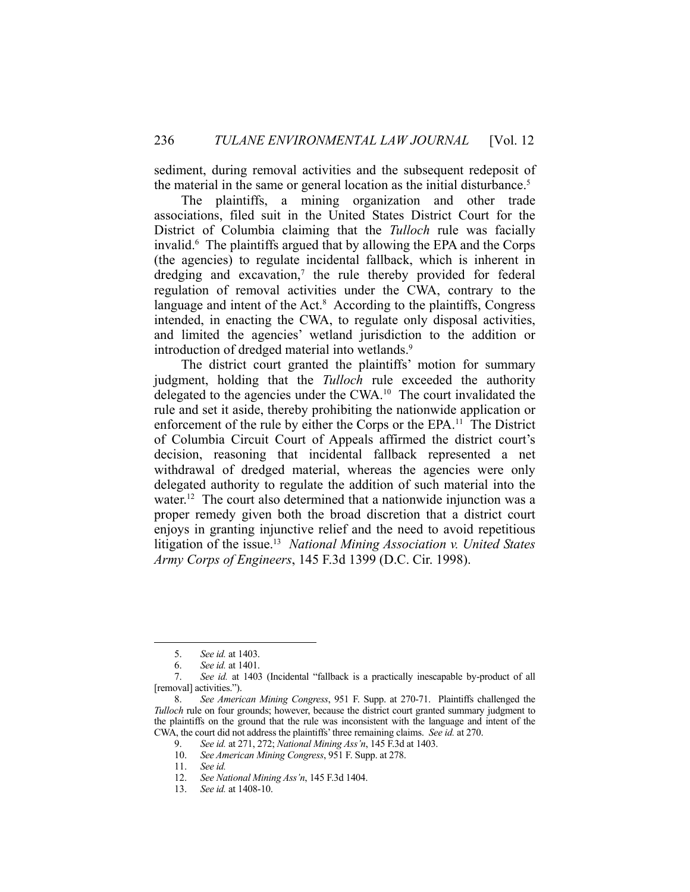sediment, during removal activities and the subsequent redeposit of the material in the same or general location as the initial disturbance.<sup>5</sup>

 The plaintiffs, a mining organization and other trade associations, filed suit in the United States District Court for the District of Columbia claiming that the *Tulloch* rule was facially invalid.6 The plaintiffs argued that by allowing the EPA and the Corps (the agencies) to regulate incidental fallback, which is inherent in dredging and excavation,<sup>7</sup> the rule thereby provided for federal regulation of removal activities under the CWA, contrary to the language and intent of the Act.<sup>8</sup> According to the plaintiffs, Congress intended, in enacting the CWA, to regulate only disposal activities, and limited the agencies' wetland jurisdiction to the addition or introduction of dredged material into wetlands.<sup>9</sup>

 The district court granted the plaintiffs' motion for summary judgment, holding that the *Tulloch* rule exceeded the authority delegated to the agencies under the CWA.<sup>10</sup> The court invalidated the rule and set it aside, thereby prohibiting the nationwide application or enforcement of the rule by either the Corps or the EPA.11 The District of Columbia Circuit Court of Appeals affirmed the district court's decision, reasoning that incidental fallback represented a net withdrawal of dredged material, whereas the agencies were only delegated authority to regulate the addition of such material into the water.<sup>12</sup> The court also determined that a nationwide injunction was a proper remedy given both the broad discretion that a district court enjoys in granting injunctive relief and the need to avoid repetitious litigation of the issue.13 *National Mining Association v. United States Army Corps of Engineers*, 145 F.3d 1399 (D.C. Cir. 1998).

 <sup>5.</sup> *See id.* at 1403.

 <sup>6.</sup> *See id.* at 1401.

 <sup>7.</sup> *See id.* at 1403 (Incidental "fallback is a practically inescapable by-product of all [removal] activities.").

 <sup>8.</sup> *See American Mining Congress*, 951 F. Supp. at 270-71. Plaintiffs challenged the *Tulloch* rule on four grounds; however, because the district court granted summary judgment to the plaintiffs on the ground that the rule was inconsistent with the language and intent of the CWA, the court did not address the plaintiffs' three remaining claims. *See id.* at 270.

 <sup>9.</sup> *See id.* at 271, 272; *National Mining Ass'n*, 145 F.3d at 1403.

 <sup>10.</sup> *See American Mining Congress*, 951 F. Supp. at 278.

See id.

 <sup>12.</sup> *See National Mining Ass'n*, 145 F.3d 1404.

 <sup>13.</sup> *See id.* at 1408-10.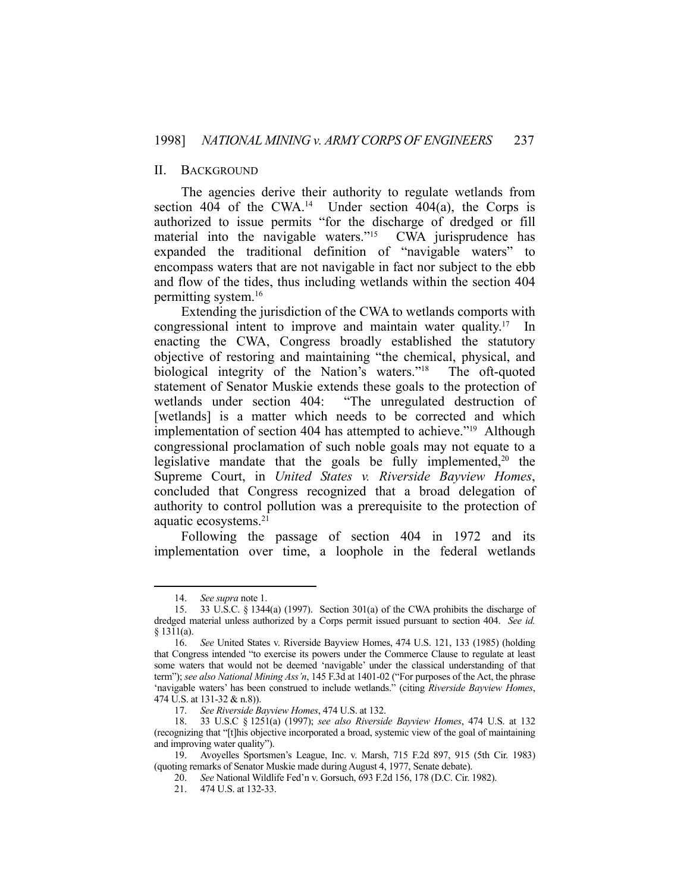# II. BACKGROUND

 The agencies derive their authority to regulate wetlands from section 404 of the CWA.<sup>14</sup> Under section 404(a), the Corps is authorized to issue permits "for the discharge of dredged or fill material into the navigable waters."15 CWA jurisprudence has expanded the traditional definition of "navigable waters" to encompass waters that are not navigable in fact nor subject to the ebb and flow of the tides, thus including wetlands within the section 404 permitting system.16

 Extending the jurisdiction of the CWA to wetlands comports with congressional intent to improve and maintain water quality.17 In enacting the CWA, Congress broadly established the statutory objective of restoring and maintaining "the chemical, physical, and biological integrity of the Nation's waters."18 The oft-quoted statement of Senator Muskie extends these goals to the protection of wetlands under section 404: "The unregulated destruction of [wetlands] is a matter which needs to be corrected and which implementation of section 404 has attempted to achieve."19 Although congressional proclamation of such noble goals may not equate to a legislative mandate that the goals be fully implemented,<sup>20</sup> the Supreme Court, in *United States v. Riverside Bayview Homes*, concluded that Congress recognized that a broad delegation of authority to control pollution was a prerequisite to the protection of aquatic ecosystems.21

 Following the passage of section 404 in 1972 and its implementation over time, a loophole in the federal wetlands

 <sup>14.</sup> *See supra* note 1.

 <sup>15. 33</sup> U.S.C. § 1344(a) (1997). Section 301(a) of the CWA prohibits the discharge of dredged material unless authorized by a Corps permit issued pursuant to section 404. *See id.* § 1311(a).

 <sup>16.</sup> *See* United States v. Riverside Bayview Homes, 474 U.S. 121, 133 (1985) (holding that Congress intended "to exercise its powers under the Commerce Clause to regulate at least some waters that would not be deemed 'navigable' under the classical understanding of that term"); *see also National Mining Ass'n*, 145 F.3d at 1401-02 ("For purposes of the Act, the phrase 'navigable waters' has been construed to include wetlands." (citing *Riverside Bayview Homes*, 474 U.S. at 131-32 & n.8)).

 <sup>17.</sup> *See Riverside Bayview Homes*, 474 U.S. at 132.

 <sup>18. 33</sup> U.S.C § 1251(a) (1997); *see also Riverside Bayview Homes*, 474 U.S. at 132 (recognizing that "[t]his objective incorporated a broad, systemic view of the goal of maintaining and improving water quality").

 <sup>19.</sup> Avoyelles Sportsmen's League, Inc. v. Marsh, 715 F.2d 897, 915 (5th Cir. 1983) (quoting remarks of Senator Muskie made during August 4, 1977, Senate debate).

 <sup>20.</sup> *See* National Wildlife Fed'n v. Gorsuch, 693 F.2d 156, 178 (D.C. Cir. 1982).

 <sup>21. 474</sup> U.S. at 132-33.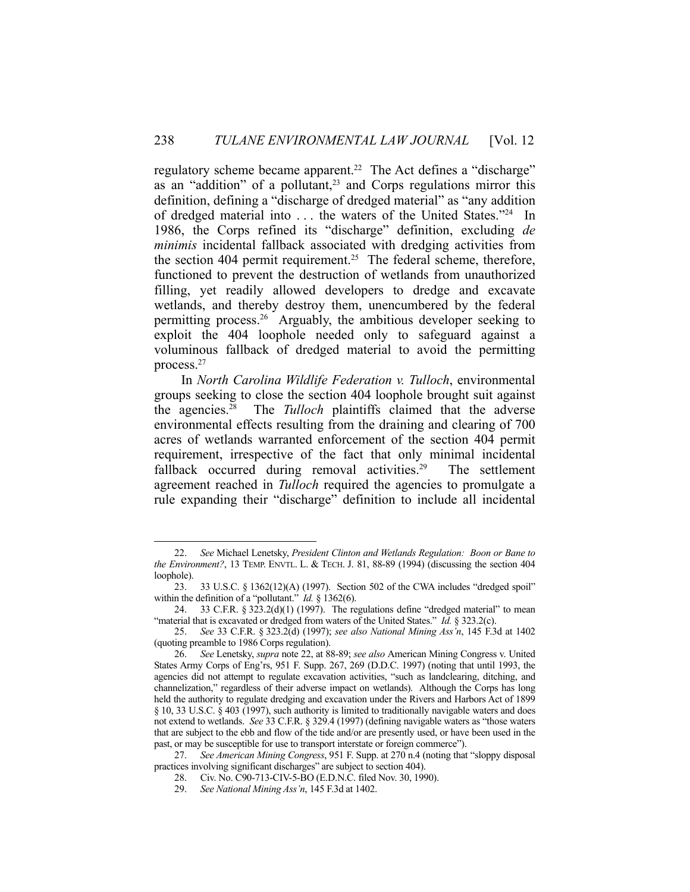regulatory scheme became apparent.<sup>22</sup> The Act defines a "discharge" as an "addition" of a pollutant,<sup>23</sup> and Corps regulations mirror this definition, defining a "discharge of dredged material" as "any addition of dredged material into . . . the waters of the United States."24 In 1986, the Corps refined its "discharge" definition, excluding *de minimis* incidental fallback associated with dredging activities from the section 404 permit requirement.<sup>25</sup> The federal scheme, therefore, functioned to prevent the destruction of wetlands from unauthorized filling, yet readily allowed developers to dredge and excavate wetlands, and thereby destroy them, unencumbered by the federal permitting process.26 Arguably, the ambitious developer seeking to exploit the 404 loophole needed only to safeguard against a voluminous fallback of dredged material to avoid the permitting process.27

 In *North Carolina Wildlife Federation v. Tulloch*, environmental groups seeking to close the section 404 loophole brought suit against the agencies.28 The *Tulloch* plaintiffs claimed that the adverse environmental effects resulting from the draining and clearing of 700 acres of wetlands warranted enforcement of the section 404 permit requirement, irrespective of the fact that only minimal incidental fallback occurred during removal activities.<sup>29</sup> The settlement agreement reached in *Tulloch* required the agencies to promulgate a rule expanding their "discharge" definition to include all incidental

 <sup>22.</sup> *See* Michael Lenetsky, *President Clinton and Wetlands Regulation: Boon or Bane to the Environment?*, 13 TEMP. ENVTL. L. & TECH. J. 81, 88-89 (1994) (discussing the section 404 loophole).

 <sup>23. 33</sup> U.S.C. § 1362(12)(A) (1997). Section 502 of the CWA includes "dredged spoil" within the definition of a "pollutant." *Id.* § 1362(6).

<sup>24. 33</sup> C.F.R.  $\S 323.2(d)(1)$  (1997). The regulations define "dredged material" to mean "material that is excavated or dredged from waters of the United States." *Id.* § 323.2(c).

 <sup>25.</sup> *See* 33 C.F.R. § 323.2(d) (1997); *see also National Mining Ass'n*, 145 F.3d at 1402 (quoting preamble to 1986 Corps regulation).

 <sup>26.</sup> *See* Lenetsky, *supra* note 22, at 88-89; *see also* American Mining Congress v. United States Army Corps of Eng'rs, 951 F. Supp. 267, 269 (D.D.C. 1997) (noting that until 1993, the agencies did not attempt to regulate excavation activities, "such as landclearing, ditching, and channelization," regardless of their adverse impact on wetlands). Although the Corps has long held the authority to regulate dredging and excavation under the Rivers and Harbors Act of 1899 § 10, 33 U.S.C. § 403 (1997), such authority is limited to traditionally navigable waters and does not extend to wetlands. *See* 33 C.F.R. § 329.4 (1997) (defining navigable waters as "those waters that are subject to the ebb and flow of the tide and/or are presently used, or have been used in the past, or may be susceptible for use to transport interstate or foreign commerce").

 <sup>27.</sup> *See American Mining Congress*, 951 F. Supp. at 270 n.4 (noting that "sloppy disposal practices involving significant discharges" are subject to section 404).

 <sup>28.</sup> Civ. No. C90-713-CIV-5-BO (E.D.N.C. filed Nov. 30, 1990).

 <sup>29.</sup> *See National Mining Ass'n*, 145 F.3d at 1402.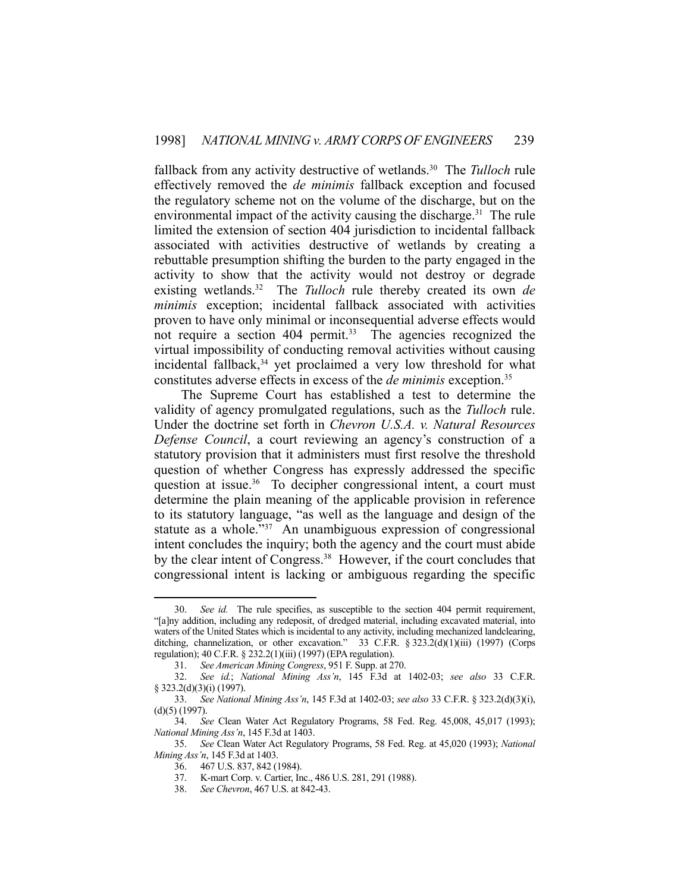fallback from any activity destructive of wetlands.30 The *Tulloch* rule effectively removed the *de minimis* fallback exception and focused the regulatory scheme not on the volume of the discharge, but on the environmental impact of the activity causing the discharge.<sup>31</sup> The rule limited the extension of section 404 jurisdiction to incidental fallback associated with activities destructive of wetlands by creating a rebuttable presumption shifting the burden to the party engaged in the activity to show that the activity would not destroy or degrade existing wetlands.<sup>32</sup> The *Tulloch* rule thereby created its own *de minimis* exception; incidental fallback associated with activities proven to have only minimal or inconsequential adverse effects would not require a section 404 permit.<sup>33</sup> The agencies recognized the virtual impossibility of conducting removal activities without causing incidental fallback,<sup>34</sup> yet proclaimed a very low threshold for what constitutes adverse effects in excess of the *de minimis* exception.35

 The Supreme Court has established a test to determine the validity of agency promulgated regulations, such as the *Tulloch* rule. Under the doctrine set forth in *Chevron U.S.A. v. Natural Resources Defense Council*, a court reviewing an agency's construction of a statutory provision that it administers must first resolve the threshold question of whether Congress has expressly addressed the specific question at issue.<sup>36</sup> To decipher congressional intent, a court must determine the plain meaning of the applicable provision in reference to its statutory language, "as well as the language and design of the statute as a whole."37 An unambiguous expression of congressional intent concludes the inquiry; both the agency and the court must abide by the clear intent of Congress.<sup>38</sup> However, if the court concludes that congressional intent is lacking or ambiguous regarding the specific

 <sup>30.</sup> *See id.* The rule specifies, as susceptible to the section 404 permit requirement, "[a]ny addition, including any redeposit, of dredged material, including excavated material, into waters of the United States which is incidental to any activity, including mechanized landclearing, ditching, channelization, or other excavation." 33 C.F.R. § 323.2(d)(1)(iii) (1997) (Corps regulation); 40 C.F.R. § 232.2(1)(iii) (1997) (EPA regulation).

 <sup>31.</sup> *See American Mining Congress*, 951 F. Supp. at 270.

 <sup>32.</sup> *See id.*; *National Mining Ass'n*, 145 F.3d at 1402-03; *see also* 33 C.F.R. § 323.2(d)(3)(i) (1997).

 <sup>33.</sup> *See National Mining Ass'n*, 145 F.3d at 1402-03; *see also* 33 C.F.R. § 323.2(d)(3)(i), (d)(5) (1997).

 <sup>34.</sup> *See* Clean Water Act Regulatory Programs, 58 Fed. Reg. 45,008, 45,017 (1993); *National Mining Ass'n*, 145 F.3d at 1403.

 <sup>35.</sup> *See* Clean Water Act Regulatory Programs, 58 Fed. Reg. at 45,020 (1993); *National Mining Ass'n*, 145 F.3d at 1403.

 <sup>36. 467</sup> U.S. 837, 842 (1984).

 <sup>37.</sup> K-mart Corp. v. Cartier, Inc., 486 U.S. 281, 291 (1988).

 <sup>38.</sup> *See Chevron*, 467 U.S. at 842-43.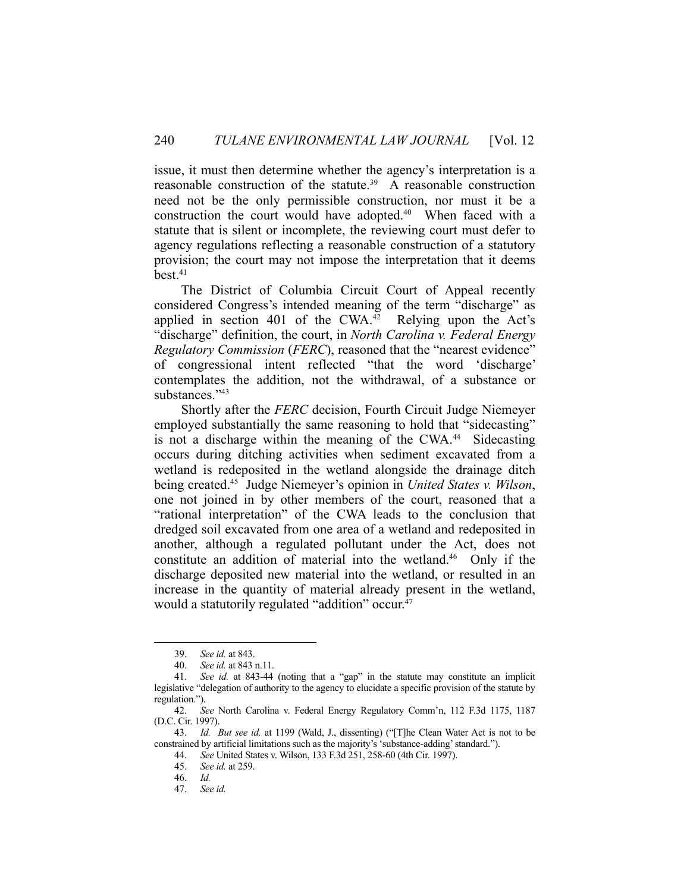issue, it must then determine whether the agency's interpretation is a reasonable construction of the statute.<sup>39</sup> A reasonable construction need not be the only permissible construction, nor must it be a construction the court would have adopted.<sup>40</sup> When faced with a statute that is silent or incomplete, the reviewing court must defer to agency regulations reflecting a reasonable construction of a statutory provision; the court may not impose the interpretation that it deems  $best<sub>1</sub><sup>41</sup>$ 

 The District of Columbia Circuit Court of Appeal recently considered Congress's intended meaning of the term "discharge" as applied in section 401 of the  $CWA<sup>42</sup>$  Relying upon the Act's "discharge" definition, the court, in *North Carolina v. Federal Energy Regulatory Commission* (*FERC*), reasoned that the "nearest evidence" of congressional intent reflected "that the word 'discharge' contemplates the addition, not the withdrawal, of a substance or substances."43

 Shortly after the *FERC* decision, Fourth Circuit Judge Niemeyer employed substantially the same reasoning to hold that "sidecasting" is not a discharge within the meaning of the CWA.<sup>44</sup> Sidecasting occurs during ditching activities when sediment excavated from a wetland is redeposited in the wetland alongside the drainage ditch being created.45 Judge Niemeyer's opinion in *United States v. Wilson*, one not joined in by other members of the court, reasoned that a "rational interpretation" of the CWA leads to the conclusion that dredged soil excavated from one area of a wetland and redeposited in another, although a regulated pollutant under the Act, does not constitute an addition of material into the wetland.<sup>46</sup> Only if the discharge deposited new material into the wetland, or resulted in an increase in the quantity of material already present in the wetland, would a statutorily regulated "addition" occur.<sup>47</sup>

 <sup>39.</sup> *See id.* at 843.

 <sup>40.</sup> *See id.* at 843 n.11.

 <sup>41.</sup> *See id.* at 843-44 (noting that a "gap" in the statute may constitute an implicit legislative "delegation of authority to the agency to elucidate a specific provision of the statute by regulation.").

 <sup>42.</sup> *See* North Carolina v. Federal Energy Regulatory Comm'n, 112 F.3d 1175, 1187 (D.C. Cir. 1997).

 <sup>43.</sup> *Id. But see id.* at 1199 (Wald, J., dissenting) ("[T]he Clean Water Act is not to be constrained by artificial limitations such as the majority's 'substance-adding' standard.").

 <sup>44.</sup> *See* United States v. Wilson, 133 F.3d 251, 258-60 (4th Cir. 1997).

 <sup>45.</sup> *See id.* at 259.

 <sup>46.</sup> *Id.*

 <sup>47.</sup> *See id.*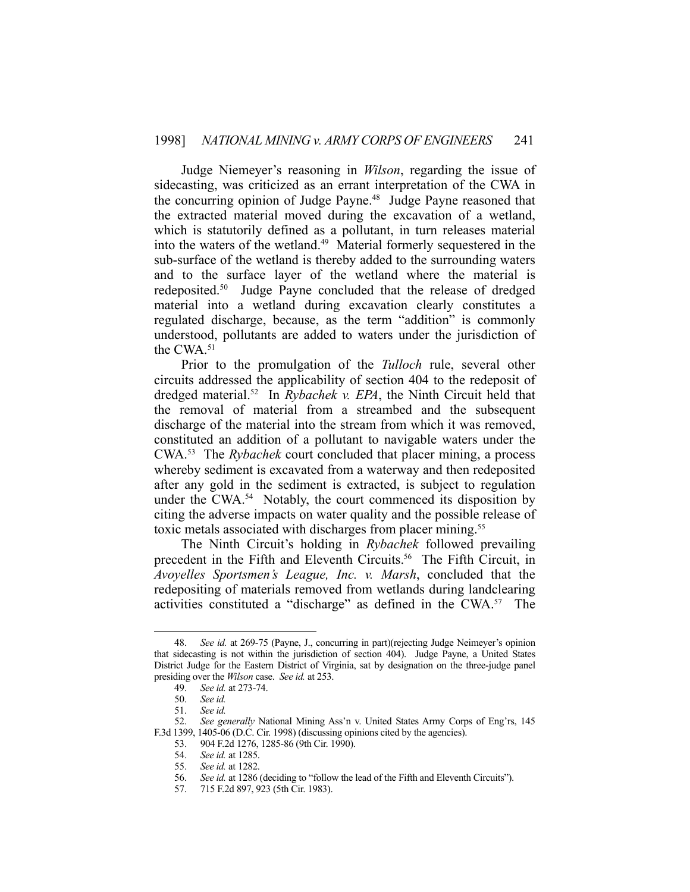Judge Niemeyer's reasoning in *Wilson*, regarding the issue of sidecasting, was criticized as an errant interpretation of the CWA in the concurring opinion of Judge Payne.<sup>48</sup> Judge Payne reasoned that the extracted material moved during the excavation of a wetland, which is statutorily defined as a pollutant, in turn releases material into the waters of the wetland.49 Material formerly sequestered in the sub-surface of the wetland is thereby added to the surrounding waters and to the surface layer of the wetland where the material is redeposited.<sup>50</sup> Judge Payne concluded that the release of dredged material into a wetland during excavation clearly constitutes a regulated discharge, because, as the term "addition" is commonly understood, pollutants are added to waters under the jurisdiction of the CWA.51

 Prior to the promulgation of the *Tulloch* rule, several other circuits addressed the applicability of section 404 to the redeposit of dredged material.<sup>52</sup> In *Rybachek v. EPA*, the Ninth Circuit held that the removal of material from a streambed and the subsequent discharge of the material into the stream from which it was removed, constituted an addition of a pollutant to navigable waters under the CWA.53 The *Rybachek* court concluded that placer mining, a process whereby sediment is excavated from a waterway and then redeposited after any gold in the sediment is extracted, is subject to regulation under the CWA.<sup>54</sup> Notably, the court commenced its disposition by citing the adverse impacts on water quality and the possible release of toxic metals associated with discharges from placer mining.<sup>55</sup>

 The Ninth Circuit's holding in *Rybachek* followed prevailing precedent in the Fifth and Eleventh Circuits.<sup>56</sup> The Fifth Circuit, in *Avoyelles Sportsmen's League, Inc. v. Marsh*, concluded that the redepositing of materials removed from wetlands during landclearing activities constituted a "discharge" as defined in the CWA.57 The

 <sup>48.</sup> *See id.* at 269-75 (Payne, J., concurring in part)(rejecting Judge Neimeyer's opinion that sidecasting is not within the jurisdiction of section 404). Judge Payne, a United States District Judge for the Eastern District of Virginia, sat by designation on the three-judge panel presiding over the *Wilson* case. *See id.* at 253.

 <sup>49.</sup> *See id.* at 273-74.

 <sup>50.</sup> *See id.* 

 <sup>51.</sup> *See id.*

 <sup>52.</sup> *See generally* National Mining Ass'n v. United States Army Corps of Eng'rs, 145 F.3d 1399, 1405-06 (D.C. Cir. 1998) (discussing opinions cited by the agencies).

<sup>53. 904</sup> F.2d 1276, 1285-86 (9th Cir. 1990).

 <sup>54.</sup> *See id.* at 1285.

 <sup>55.</sup> *See id.* at 1282.

 <sup>56.</sup> *See id.* at 1286 (deciding to "follow the lead of the Fifth and Eleventh Circuits").

 <sup>57. 715</sup> F.2d 897, 923 (5th Cir. 1983).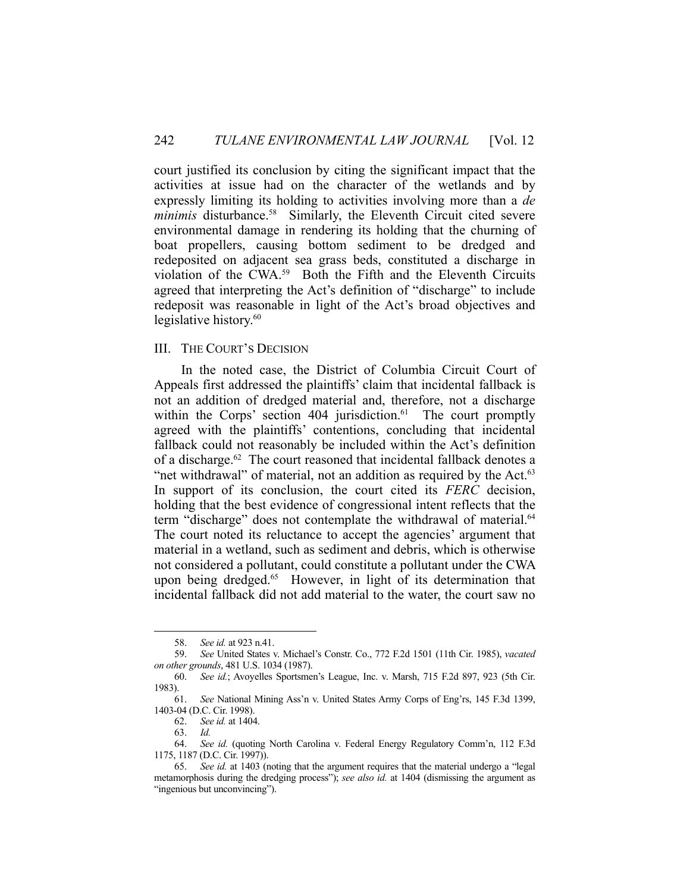court justified its conclusion by citing the significant impact that the activities at issue had on the character of the wetlands and by expressly limiting its holding to activities involving more than a *de minimis* disturbance.<sup>58</sup> Similarly, the Eleventh Circuit cited severe environmental damage in rendering its holding that the churning of boat propellers, causing bottom sediment to be dredged and redeposited on adjacent sea grass beds, constituted a discharge in violation of the CWA.59 Both the Fifth and the Eleventh Circuits agreed that interpreting the Act's definition of "discharge" to include redeposit was reasonable in light of the Act's broad objectives and legislative history.<sup>60</sup>

# III. THE COURT'S DECISION

 In the noted case, the District of Columbia Circuit Court of Appeals first addressed the plaintiffs' claim that incidental fallback is not an addition of dredged material and, therefore, not a discharge within the Corps' section 404 jurisdiction.<sup>61</sup> The court promptly agreed with the plaintiffs' contentions, concluding that incidental fallback could not reasonably be included within the Act's definition of a discharge.62 The court reasoned that incidental fallback denotes a "net withdrawal" of material, not an addition as required by the Act.<sup>63</sup> In support of its conclusion, the court cited its *FERC* decision, holding that the best evidence of congressional intent reflects that the term "discharge" does not contemplate the withdrawal of material.<sup>64</sup> The court noted its reluctance to accept the agencies' argument that material in a wetland, such as sediment and debris, which is otherwise not considered a pollutant, could constitute a pollutant under the CWA upon being dredged.65 However, in light of its determination that incidental fallback did not add material to the water, the court saw no

 <sup>58.</sup> *See id.* at 923 n.41.

 <sup>59.</sup> *See* United States v. Michael's Constr. Co., 772 F.2d 1501 (11th Cir. 1985), *vacated on other grounds*, 481 U.S. 1034 (1987).

 <sup>60.</sup> *See id.*; Avoyelles Sportsmen's League, Inc. v. Marsh, 715 F.2d 897, 923 (5th Cir. 1983).

 <sup>61.</sup> *See* National Mining Ass'n v. United States Army Corps of Eng'rs, 145 F.3d 1399, 1403-04 (D.C. Cir. 1998).

 <sup>62.</sup> *See id.* at 1404.

 <sup>63.</sup> *Id.* 

 <sup>64.</sup> *See id.* (quoting North Carolina v. Federal Energy Regulatory Comm'n, 112 F.3d 1175, 1187 (D.C. Cir. 1997)).

 <sup>65.</sup> *See id.* at 1403 (noting that the argument requires that the material undergo a "legal metamorphosis during the dredging process"); *see also id.* at 1404 (dismissing the argument as "ingenious but unconvincing").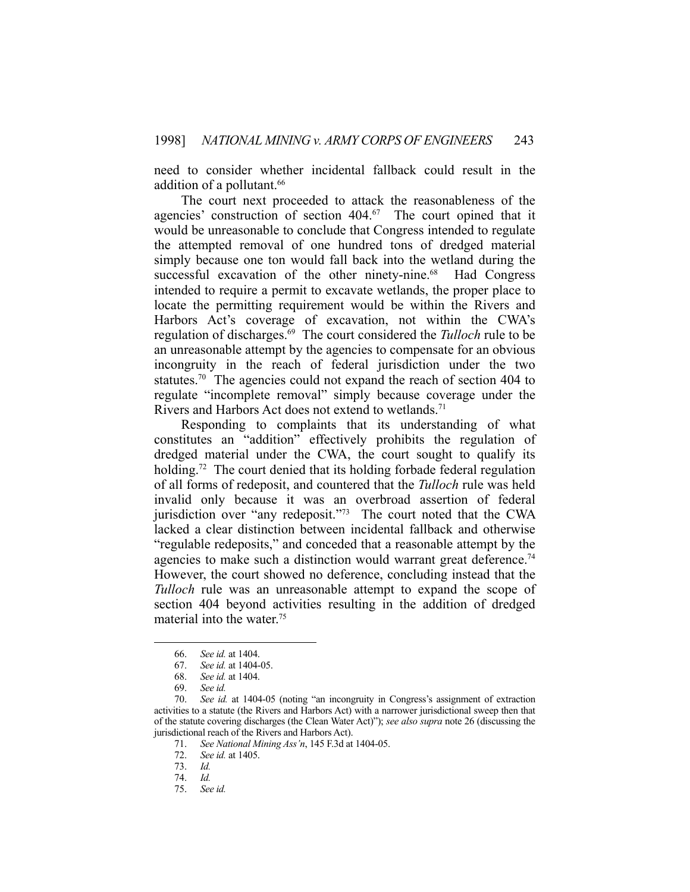need to consider whether incidental fallback could result in the addition of a pollutant.<sup>66</sup>

 The court next proceeded to attack the reasonableness of the agencies' construction of section 404.<sup>67</sup> The court opined that it would be unreasonable to conclude that Congress intended to regulate the attempted removal of one hundred tons of dredged material simply because one ton would fall back into the wetland during the successful excavation of the other ninety-nine.<sup>68</sup> Had Congress intended to require a permit to excavate wetlands, the proper place to locate the permitting requirement would be within the Rivers and Harbors Act's coverage of excavation, not within the CWA's regulation of discharges.69 The court considered the *Tulloch* rule to be an unreasonable attempt by the agencies to compensate for an obvious incongruity in the reach of federal jurisdiction under the two statutes.<sup>70</sup> The agencies could not expand the reach of section 404 to regulate "incomplete removal" simply because coverage under the Rivers and Harbors Act does not extend to wetlands.<sup>71</sup>

 Responding to complaints that its understanding of what constitutes an "addition" effectively prohibits the regulation of dredged material under the CWA, the court sought to qualify its holding.<sup>72</sup> The court denied that its holding forbade federal regulation of all forms of redeposit, and countered that the *Tulloch* rule was held invalid only because it was an overbroad assertion of federal jurisdiction over "any redeposit."<sup>73</sup> The court noted that the CWA lacked a clear distinction between incidental fallback and otherwise "regulable redeposits," and conceded that a reasonable attempt by the agencies to make such a distinction would warrant great deference.<sup>74</sup> However, the court showed no deference, concluding instead that the *Tulloch* rule was an unreasonable attempt to expand the scope of section 404 beyond activities resulting in the addition of dredged material into the water.<sup>75</sup>

 <sup>66.</sup> *See id.* at 1404.

 <sup>67.</sup> *See id.* at 1404-05.

 <sup>68.</sup> *See id.* at 1404.

 <sup>69.</sup> *See id.* 

 <sup>70.</sup> *See id.* at 1404-05 (noting "an incongruity in Congress's assignment of extraction activities to a statute (the Rivers and Harbors Act) with a narrower jurisdictional sweep then that of the statute covering discharges (the Clean Water Act)"); *see also supra* note 26 (discussing the jurisdictional reach of the Rivers and Harbors Act).

 <sup>71.</sup> *See National Mining Ass'n*, 145 F.3d at 1404-05.

 <sup>72.</sup> *See id.* at 1405.

 <sup>73.</sup> *Id.* 

 <sup>74.</sup> *Id.* 

 <sup>75.</sup> *See id.*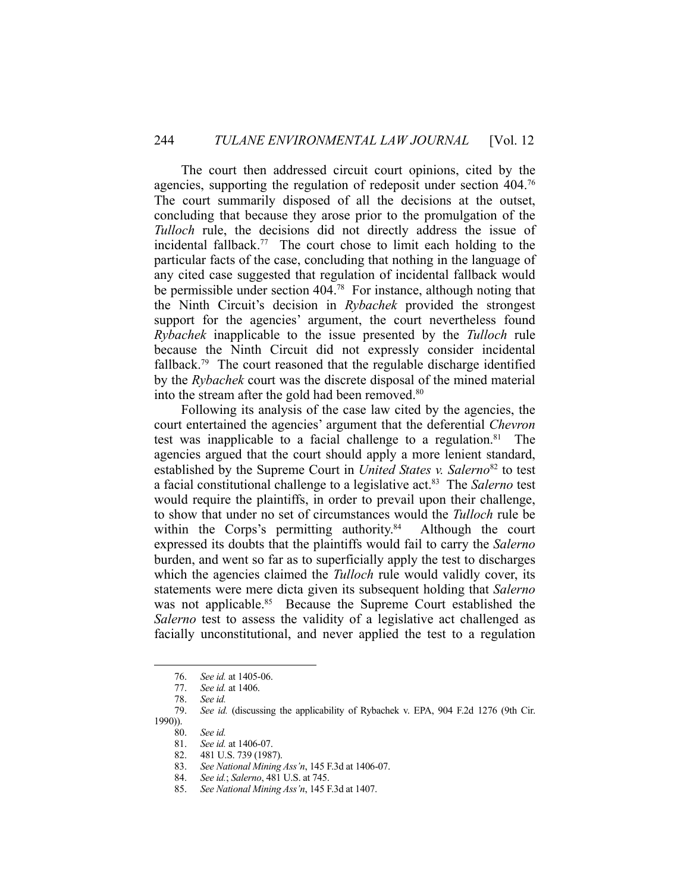The court then addressed circuit court opinions, cited by the agencies, supporting the regulation of redeposit under section 404.76 The court summarily disposed of all the decisions at the outset, concluding that because they arose prior to the promulgation of the *Tulloch* rule, the decisions did not directly address the issue of incidental fallback.<sup>77</sup> The court chose to limit each holding to the particular facts of the case, concluding that nothing in the language of any cited case suggested that regulation of incidental fallback would be permissible under section 404.<sup>78</sup> For instance, although noting that the Ninth Circuit's decision in *Rybachek* provided the strongest support for the agencies' argument, the court nevertheless found *Rybachek* inapplicable to the issue presented by the *Tulloch* rule because the Ninth Circuit did not expressly consider incidental fallback.<sup>79</sup> The court reasoned that the regulable discharge identified by the *Rybachek* court was the discrete disposal of the mined material into the stream after the gold had been removed.<sup>80</sup>

 Following its analysis of the case law cited by the agencies, the court entertained the agencies' argument that the deferential *Chevron* test was inapplicable to a facial challenge to a regulation. $81$  The agencies argued that the court should apply a more lenient standard, established by the Supreme Court in *United States v. Salerno*<sup>82</sup> to test a facial constitutional challenge to a legislative act.83 The *Salerno* test would require the plaintiffs, in order to prevail upon their challenge, to show that under no set of circumstances would the *Tulloch* rule be within the Corps's permitting authority.<sup>84</sup> Although the court expressed its doubts that the plaintiffs would fail to carry the *Salerno* burden, and went so far as to superficially apply the test to discharges which the agencies claimed the *Tulloch* rule would validly cover, its statements were mere dicta given its subsequent holding that *Salerno*  was not applicable.<sup>85</sup> Because the Supreme Court established the *Salerno* test to assess the validity of a legislative act challenged as facially unconstitutional, and never applied the test to a regulation

- 80. *See id.*
- 81. *See id.* at 1406-07.

 <sup>76.</sup> *See id.* at 1405-06.

 <sup>77.</sup> *See id.* at 1406.

 <sup>78.</sup> *See id.* 

 <sup>79.</sup> *See id.* (discussing the applicability of Rybachek v. EPA, 904 F.2d 1276 (9th Cir. 1990)).

 <sup>82. 481</sup> U.S. 739 (1987).

 <sup>83.</sup> *See National Mining Ass'n*, 145 F.3d at 1406-07.

 <sup>84.</sup> *See id.*; *Salerno*, 481 U.S. at 745.

 <sup>85.</sup> *See National Mining Ass'n*, 145 F.3d at 1407.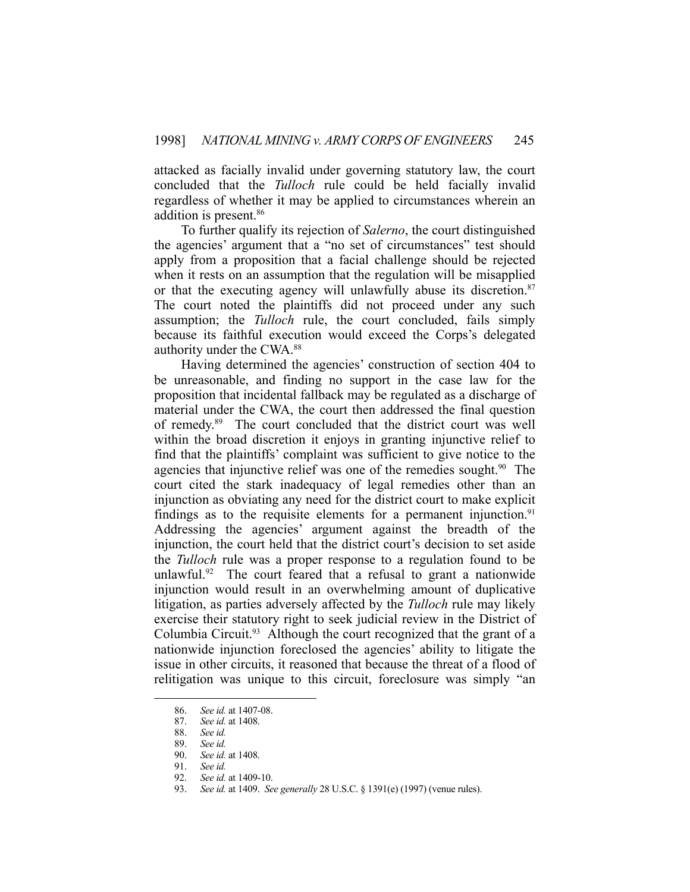attacked as facially invalid under governing statutory law, the court concluded that the *Tulloch* rule could be held facially invalid regardless of whether it may be applied to circumstances wherein an addition is present.86

 To further qualify its rejection of *Salerno*, the court distinguished the agencies' argument that a "no set of circumstances" test should apply from a proposition that a facial challenge should be rejected when it rests on an assumption that the regulation will be misapplied or that the executing agency will unlawfully abuse its discretion.<sup>87</sup> The court noted the plaintiffs did not proceed under any such assumption; the *Tulloch* rule, the court concluded, fails simply because its faithful execution would exceed the Corps's delegated authority under the CWA.88

 Having determined the agencies' construction of section 404 to be unreasonable, and finding no support in the case law for the proposition that incidental fallback may be regulated as a discharge of material under the CWA, the court then addressed the final question of remedy.89 The court concluded that the district court was well within the broad discretion it enjoys in granting injunctive relief to find that the plaintiffs' complaint was sufficient to give notice to the agencies that injunctive relief was one of the remedies sought.<sup>90</sup> The court cited the stark inadequacy of legal remedies other than an injunction as obviating any need for the district court to make explicit findings as to the requisite elements for a permanent injunction.<sup>91</sup> Addressing the agencies' argument against the breadth of the injunction, the court held that the district court's decision to set aside the *Tulloch* rule was a proper response to a regulation found to be unlawful.<sup>92</sup> The court feared that a refusal to grant a nationwide injunction would result in an overwhelming amount of duplicative litigation, as parties adversely affected by the *Tulloch* rule may likely exercise their statutory right to seek judicial review in the District of Columbia Circuit.<sup>93</sup> Although the court recognized that the grant of a nationwide injunction foreclosed the agencies' ability to litigate the issue in other circuits, it reasoned that because the threat of a flood of relitigation was unique to this circuit, foreclosure was simply "an

 <sup>86.</sup> *See id.* at 1407-08.

 <sup>87.</sup> *See id.* at 1408.

 <sup>88.</sup> *See id.* 

 <sup>89.</sup> *See id.*

 <sup>90.</sup> *See id.* at 1408.

 <sup>91.</sup> *See id.* 

 <sup>92.</sup> *See id.* at 1409-10.

 <sup>93.</sup> *See id.* at 1409. *See generally* 28 U.S.C. § 1391(e) (1997) (venue rules).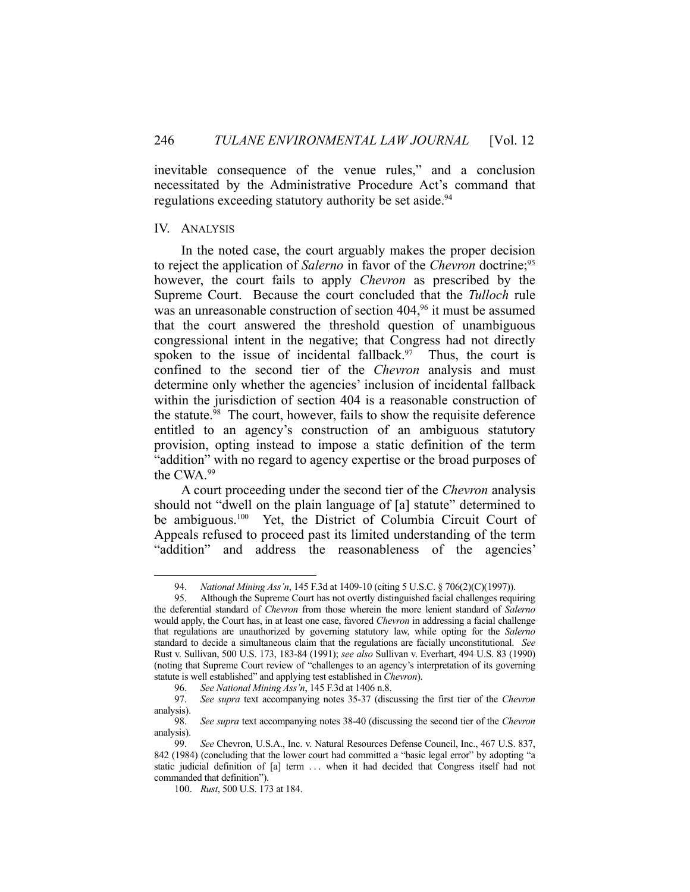inevitable consequence of the venue rules," and a conclusion necessitated by the Administrative Procedure Act's command that regulations exceeding statutory authority be set aside.<sup>94</sup>

### IV. ANALYSIS

1

 In the noted case, the court arguably makes the proper decision to reject the application of *Salerno* in favor of the *Chevron* doctrine;<sup>95</sup> however, the court fails to apply *Chevron* as prescribed by the Supreme Court. Because the court concluded that the *Tulloch* rule was an unreasonable construction of section 404,<sup>96</sup> it must be assumed that the court answered the threshold question of unambiguous congressional intent in the negative; that Congress had not directly spoken to the issue of incidental fallback.<sup>97</sup> Thus, the court is confined to the second tier of the *Chevron* analysis and must determine only whether the agencies' inclusion of incidental fallback within the jurisdiction of section 404 is a reasonable construction of the statute.98 The court, however, fails to show the requisite deference entitled to an agency's construction of an ambiguous statutory provision, opting instead to impose a static definition of the term "addition" with no regard to agency expertise or the broad purposes of the CWA.99

 A court proceeding under the second tier of the *Chevron* analysis should not "dwell on the plain language of [a] statute" determined to be ambiguous.<sup>100</sup> Yet, the District of Columbia Circuit Court of Appeals refused to proceed past its limited understanding of the term "addition" and address the reasonableness of the agencies'

 <sup>94.</sup> *National Mining Ass'n*, 145 F.3d at 1409-10 (citing 5 U.S.C. § 706(2)(C)(1997)).

 <sup>95.</sup> Although the Supreme Court has not overtly distinguished facial challenges requiring the deferential standard of *Chevron* from those wherein the more lenient standard of *Salerno* would apply, the Court has, in at least one case, favored *Chevron* in addressing a facial challenge that regulations are unauthorized by governing statutory law, while opting for the *Salerno* standard to decide a simultaneous claim that the regulations are facially unconstitutional. *See*  Rust v. Sullivan, 500 U.S. 173, 183-84 (1991); *see also* Sullivan v. Everhart, 494 U.S. 83 (1990) (noting that Supreme Court review of "challenges to an agency's interpretation of its governing statute is well established" and applying test established in *Chevron*).

 <sup>96.</sup> *See National Mining Ass'n*, 145 F.3d at 1406 n.8.

 <sup>97.</sup> *See supra* text accompanying notes 35-37 (discussing the first tier of the *Chevron* analysis).

 <sup>98.</sup> *See supra* text accompanying notes 38-40 (discussing the second tier of the *Chevron* analysis).

 <sup>99.</sup> *See* Chevron, U.S.A., Inc. v. Natural Resources Defense Council, Inc., 467 U.S. 837, 842 (1984) (concluding that the lower court had committed a "basic legal error" by adopting "a static judicial definition of [a] term . . . when it had decided that Congress itself had not commanded that definition").

 <sup>100.</sup> *Rust*, 500 U.S. 173 at 184.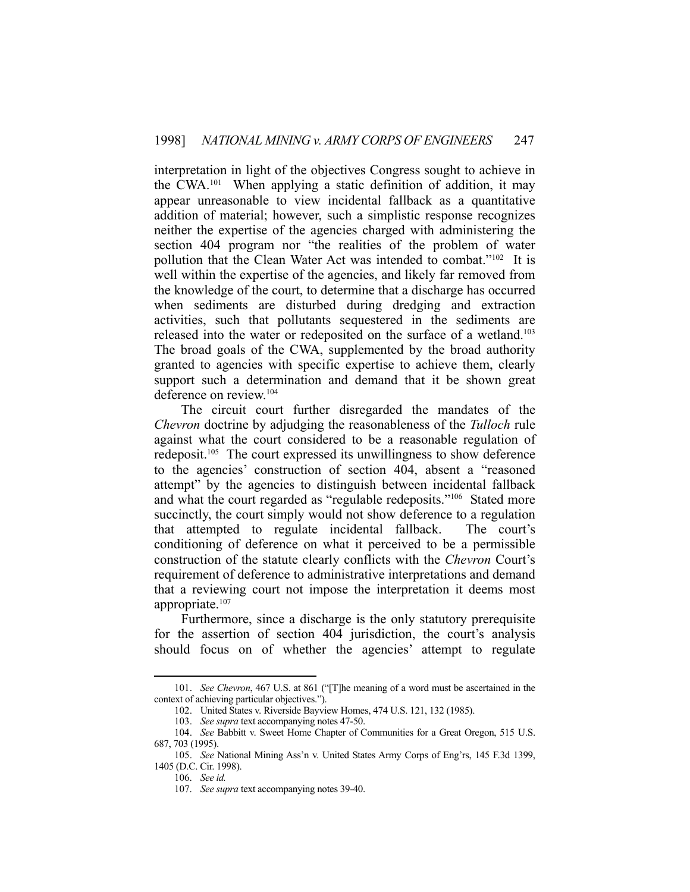interpretation in light of the objectives Congress sought to achieve in the CWA.101 When applying a static definition of addition, it may appear unreasonable to view incidental fallback as a quantitative addition of material; however, such a simplistic response recognizes neither the expertise of the agencies charged with administering the section 404 program nor "the realities of the problem of water pollution that the Clean Water Act was intended to combat."102 It is well within the expertise of the agencies, and likely far removed from the knowledge of the court, to determine that a discharge has occurred when sediments are disturbed during dredging and extraction activities, such that pollutants sequestered in the sediments are released into the water or redeposited on the surface of a wetland.103 The broad goals of the CWA, supplemented by the broad authority granted to agencies with specific expertise to achieve them, clearly support such a determination and demand that it be shown great deference on review.104

 The circuit court further disregarded the mandates of the *Chevron* doctrine by adjudging the reasonableness of the *Tulloch* rule against what the court considered to be a reasonable regulation of redeposit.105 The court expressed its unwillingness to show deference to the agencies' construction of section 404, absent a "reasoned attempt" by the agencies to distinguish between incidental fallback and what the court regarded as "regulable redeposits."<sup>106</sup> Stated more succinctly, the court simply would not show deference to a regulation that attempted to regulate incidental fallback. The court's conditioning of deference on what it perceived to be a permissible construction of the statute clearly conflicts with the *Chevron* Court's requirement of deference to administrative interpretations and demand that a reviewing court not impose the interpretation it deems most appropriate.<sup>107</sup>

 Furthermore, since a discharge is the only statutory prerequisite for the assertion of section 404 jurisdiction, the court's analysis should focus on of whether the agencies' attempt to regulate

 <sup>101.</sup> *See Chevron*, 467 U.S. at 861 ("[T]he meaning of a word must be ascertained in the context of achieving particular objectives.").

 <sup>102.</sup> United States v. Riverside Bayview Homes, 474 U.S. 121, 132 (1985).

 <sup>103.</sup> *See supra* text accompanying notes 47-50.

 <sup>104.</sup> *See* Babbitt v. Sweet Home Chapter of Communities for a Great Oregon, 515 U.S. 687, 703 (1995).

 <sup>105.</sup> *See* National Mining Ass'n v. United States Army Corps of Eng'rs, 145 F.3d 1399, 1405 (D.C. Cir. 1998).

 <sup>106.</sup> *See id.*

 <sup>107.</sup> *See supra* text accompanying notes 39-40.